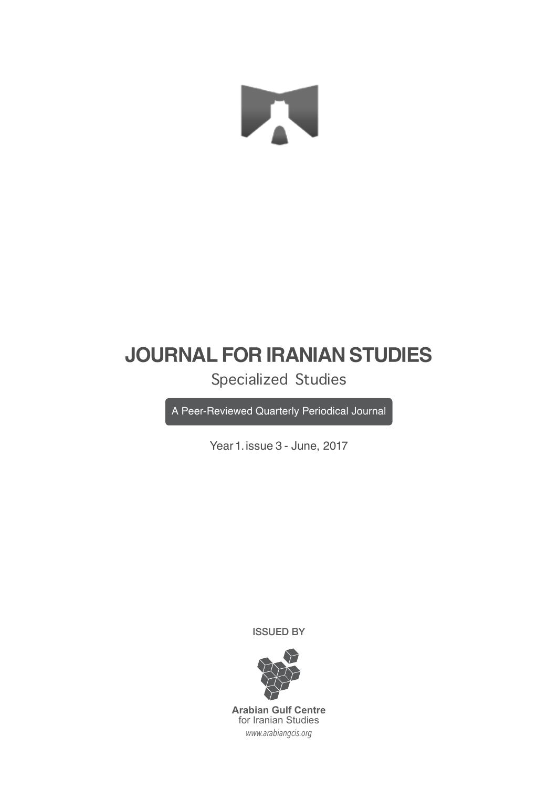# X

### **JOURNAL FOR IRANIAN STUDIES**

Specialized Studies

A Peer-Reviewed Quarterly Periodical Journal

Year 1. issue 3 - June, 2017

ISSUED BY



*www.arabiangcis.org* **Arabian Gulf Centre** for Iranian Studies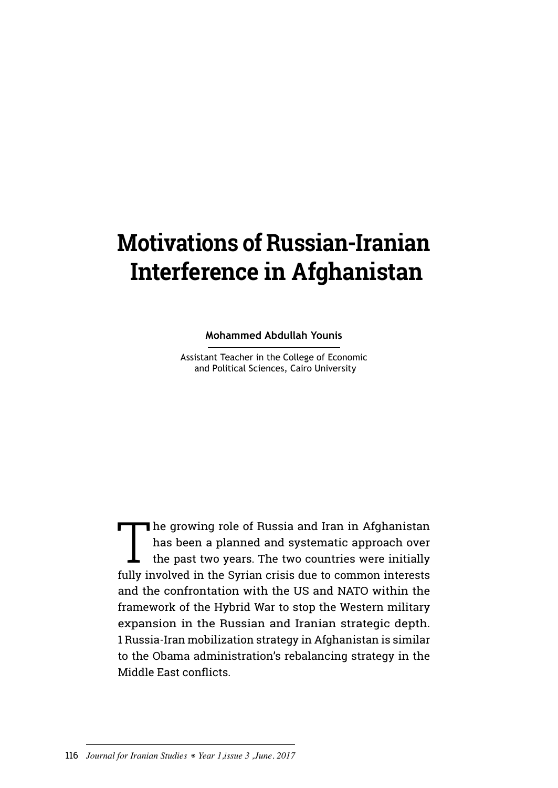## **Motivations of Russian-Iranian Interference in Afghanistan**

**Mohammed Abdullah Younis**

Assistant Teacher in the College of Economic and Political Sciences, Cairo University

The growing role of Russia and Iran in Afghanistan<br>has been a planned and systematic approach over<br>the past two years. The two countries were initially<br>fully involved in the Syrian exists due to common interests has been a planned and systematic approach over the past two years. The two countries were initially fully involved in the Syrian crisis due to common interests and the confrontation with the US and NATO within the framework of the Hybrid War to stop the Western military expansion in the Russian and Iranian strategic depth. 1 Russia-Iran mobilization strategy in Afghanistan is similar to the Obama administration's rebalancing strategy in the Middle East conflicts.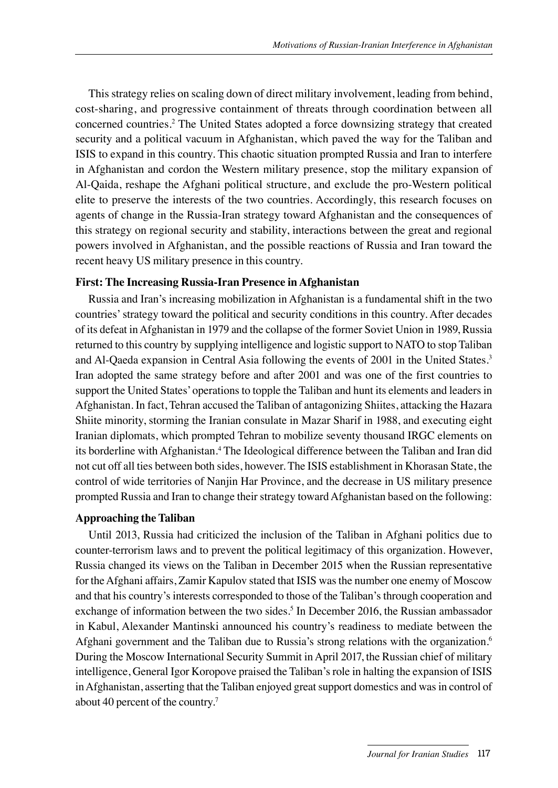This strategy relies on scaling down of direct military involvement, leading from behind, cost-sharing, and progressive containment of threats through coordination between all concerned countries.2 The United States adopted a force downsizing strategy that created security and a political vacuum in Afghanistan, which paved the way for the Taliban and ISIS to expand in this country. This chaotic situation prompted Russia and Iran to interfere in Afghanistan and cordon the Western military presence, stop the military expansion of Al-Qaida, reshape the Afghani political structure, and exclude the pro-Western political elite to preserve the interests of the two countries. Accordingly, this research focuses on agents of change in the Russia-Iran strategy toward Afghanistan and the consequences of this strategy on regional security and stability, interactions between the great and regional powers involved in Afghanistan, and the possible reactions of Russia and Iran toward the recent heavy US military presence in this country.

#### **First: The Increasing Russia-Iran Presence in Afghanistan**

Russia and Iran's increasing mobilization in Afghanistan is a fundamental shift in the two countries' strategy toward the political and security conditions in this country. After decades of its defeat in Afghanistan in 1979 and the collapse of the former Soviet Union in 1989, Russia returned to this country by supplying intelligence and logistic support to NATO to stop Taliban and Al-Qaeda expansion in Central Asia following the events of 2001 in the United States.3 Iran adopted the same strategy before and after 2001 and was one of the first countries to support the United States' operations to topple the Taliban and hunt its elements and leaders in Afghanistan. In fact, Tehran accused the Taliban of antagonizing Shiites, attacking the Hazara Shiite minority, storming the Iranian consulate in Mazar Sharif in 1988, and executing eight Iranian diplomats, which prompted Tehran to mobilize seventy thousand IRGC elements on its borderline with Afghanistan.<sup>4</sup> The Ideological difference between the Taliban and Iran did not cut off all ties between both sides, however. The ISIS establishment in Khorasan State, the control of wide territories of Nanjin Har Province, and the decrease in US military presence prompted Russia and Iran to change their strategy toward Afghanistan based on the following:

#### **Approaching the Taliban**

Until 2013, Russia had criticized the inclusion of the Taliban in Afghani politics due to counter-terrorism laws and to prevent the political legitimacy of this organization. However, Russia changed its views on the Taliban in December 2015 when the Russian representative for the Afghani affairs, Zamir Kapulov stated that ISIS was the number one enemy of Moscow and that his country's interests corresponded to those of the Taliban's through cooperation and exchange of information between the two sides.<sup>5</sup> In December 2016, the Russian ambassador in Kabul, Alexander Mantinski announced his country's readiness to mediate between the Afghani government and the Taliban due to Russia's strong relations with the organization.6 During the Moscow International Security Summit in April 2017, the Russian chief of military intelligence, General Igor Koropove praised the Taliban's role in halting the expansion of ISIS in Afghanistan, asserting that the Taliban enjoyed great support domestics and was in control of about 40 percent of the country.7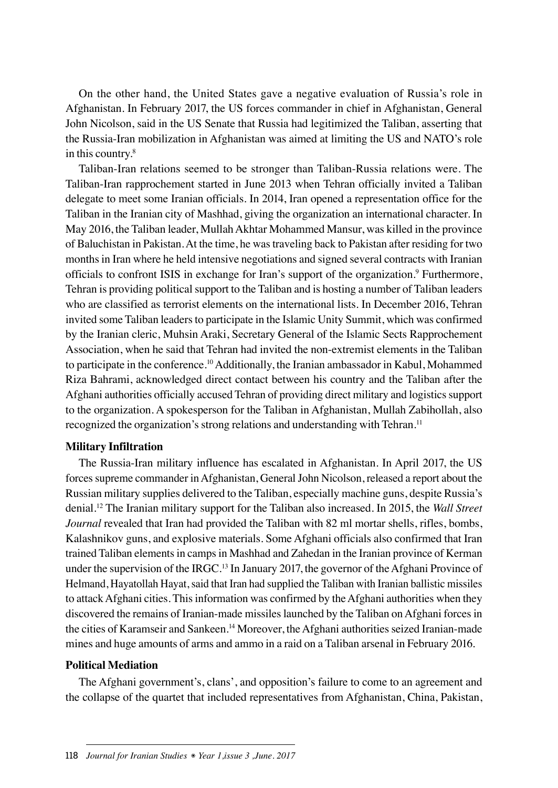On the other hand, the United States gave a negative evaluation of Russia's role in Afghanistan. In February 2017, the US forces commander in chief in Afghanistan, General John Nicolson, said in the US Senate that Russia had legitimized the Taliban, asserting that the Russia-Iran mobilization in Afghanistan was aimed at limiting the US and NATO's role in this country.<sup>8</sup>

Taliban-Iran relations seemed to be stronger than Taliban-Russia relations were. The Taliban-Iran rapprochement started in June 2013 when Tehran officially invited a Taliban delegate to meet some Iranian officials. In 2014, Iran opened a representation office for the Taliban in the Iranian city of Mashhad, giving the organization an international character. In May 2016, the Taliban leader, Mullah Akhtar Mohammed Mansur, was killed in the province of Baluchistan in Pakistan. At the time, he was traveling back to Pakistan after residing for two months in Iran where he held intensive negotiations and signed several contracts with Iranian officials to confront ISIS in exchange for Iran's support of the organization.<sup>9</sup> Furthermore, Tehran is providing political support to the Taliban and is hosting a number of Taliban leaders who are classified as terrorist elements on the international lists. In December 2016, Tehran invited some Taliban leaders to participate in the Islamic Unity Summit, which was confirmed by the Iranian cleric, Muhsin Araki, Secretary General of the Islamic Sects Rapprochement Association, when he said that Tehran had invited the non-extremist elements in the Taliban to participate in the conference.10 Additionally, the Iranian ambassador in Kabul, Mohammed Riza Bahrami, acknowledged direct contact between his country and the Taliban after the Afghani authorities officially accused Tehran of providing direct military and logistics support to the organization. A spokesperson for the Taliban in Afghanistan, Mullah Zabihollah, also recognized the organization's strong relations and understanding with Tehran.<sup>11</sup>

#### **Military Infiltration**

The Russia-Iran military influence has escalated in Afghanistan. In April 2017, the US forces supreme commander in Afghanistan, General John Nicolson, released a report about the Russian military supplies delivered to the Taliban, especially machine guns, despite Russia's denial.12 The Iranian military support for the Taliban also increased. In 2015, the *Wall Street Journal* revealed that Iran had provided the Taliban with 82 ml mortar shells, rifles, bombs, Kalashnikov guns, and explosive materials. Some Afghani officials also confirmed that Iran trained Taliban elements in camps in Mashhad and Zahedan in the Iranian province of Kerman under the supervision of the IRGC.<sup>13</sup> In January 2017, the governor of the Afghani Province of Helmand, Hayatollah Hayat, said that Iran had supplied the Taliban with Iranian ballistic missiles to attack Afghani cities. This information was confirmed by the Afghani authorities when they discovered the remains of Iranian-made missiles launched by the Taliban on Afghani forces in the cities of Karamseir and Sankeen.14 Moreover, the Afghani authorities seized Iranian-made mines and huge amounts of arms and ammo in a raid on a Taliban arsenal in February 2016.

#### **Political Mediation**

The Afghani government's, clans', and opposition's failure to come to an agreement and the collapse of the quartet that included representatives from Afghanistan, China, Pakistan,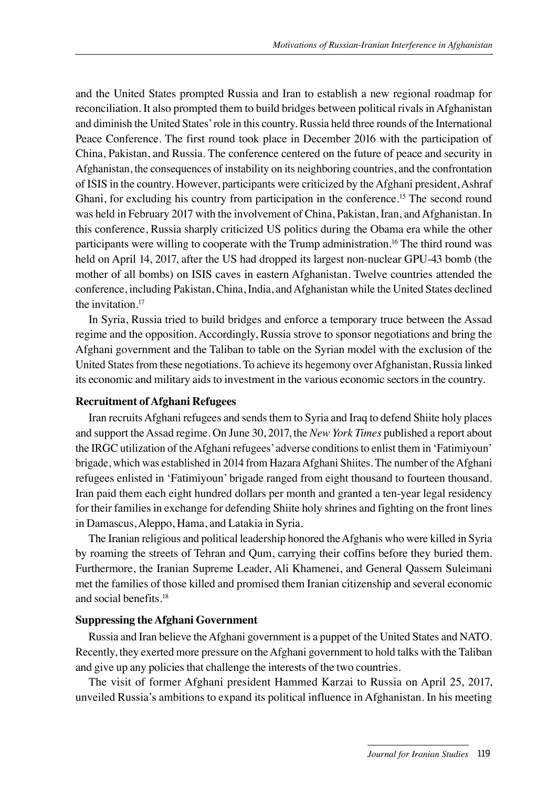and the United States prompted Russia and Iran to establish a new regional roadmap for reconciliation. It also prompted them to build bridges between political rivals in Afghanistan and diminish the United States' role in this country. Russia held three rounds of the International Peace Conference. The first round took place in December 2016 with the participation of China, Pakistan, and Russia. The conference centered on the future of peace and security in Afghanistan, the consequences of instability on its neighboring countries, and the confrontation of ISIS in the country. However, participants were criticized by the Afghani president, Ashraf Ghani, for excluding his country from participation in the conference.15 The second round was held in February 2017 with the involvement of China, Pakistan, Iran, and Afghanistan. In this conference, Russia sharply criticized US politics during the Obama era while the other participants were willing to cooperate with the Trump administration.16 The third round was held on April 14, 2017, after the US had dropped its largest non-nuclear GPU-43 bomb (the mother of all bombs) on ISIS caves in eastern Afghanistan. Twelve countries attended the conference, including Pakistan, China, India, and Afghanistan while the United States declined the invitation.17

In Syria, Russia tried to build bridges and enforce a temporary truce between the Assad regime and the opposition. Accordingly, Russia strove to sponsor negotiations and bring the Afghani government and the Taliban to table on the Syrian model with the exclusion of the United States from these negotiations. To achieve its hegemony over Afghanistan, Russia linked its economic and military aids to investment in the various economic sectors in the country.

#### **Recruitment of Afghani Refugees**

Iran recruits Afghani refugees and sends them to Syria and Iraq to defend Shiite holy places and support the Assad regime. On June 30, 2017, the *New York Times* published a report about the IRGC utilization of the Afghani refugees' adverse conditions to enlist them in 'Fatimiyoun' brigade, which was established in 2014 from Hazara Afghani Shiites. The number of the Afghani refugees enlisted in 'Fatimiyoun' brigade ranged from eight thousand to fourteen thousand. Iran paid them each eight hundred dollars per month and granted a ten-year legal residency for their families in exchange for defending Shiite holy shrines and fighting on the front lines in Damascus, Aleppo, Hama, and Latakia in Syria.

The Iranian religious and political leadership honored the Afghanis who were killed in Syria by roaming the streets of Tehran and Qum, carrying their coffins before they buried them. Furthermore, the Iranian Supreme Leader, Ali Khamenei, and General Qassem Suleimani met the families of those killed and promised them Iranian citizenship and several economic and social benefits.18

#### **Suppressing the Afghani Government**

Russia and Iran believe the Afghani government is a puppet of the United States and NATO. Recently, they exerted more pressure on the Afghani government to hold talks with the Taliban and give up any policies that challenge the interests of the two countries.

The visit of former Afghani president Hammed Karzai to Russia on April 25, 2017, unveiled Russia's ambitions to expand its political influence in Afghanistan. In his meeting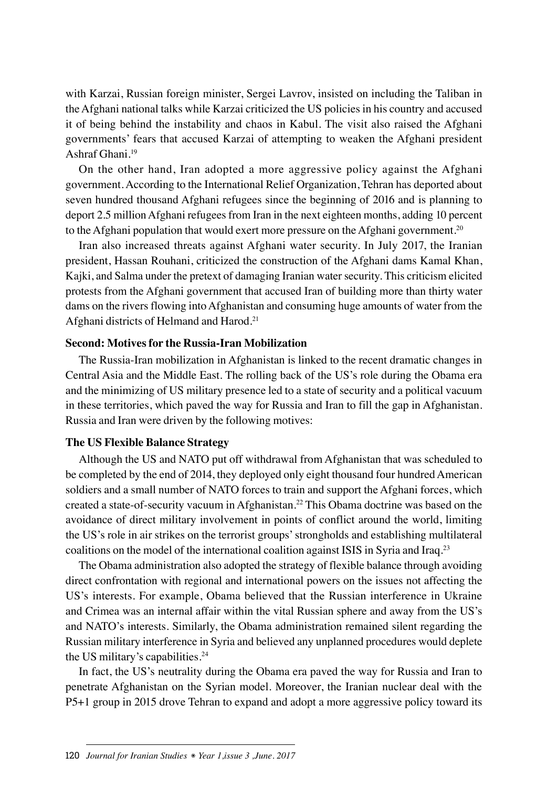with Karzai, Russian foreign minister, Sergei Lavrov, insisted on including the Taliban in the Afghani national talks while Karzai criticized the US policies in his country and accused it of being behind the instability and chaos in Kabul. The visit also raised the Afghani governments' fears that accused Karzai of attempting to weaken the Afghani president Ashraf Ghani.19

On the other hand, Iran adopted a more aggressive policy against the Afghani government. According to the International Relief Organization, Tehran has deported about seven hundred thousand Afghani refugees since the beginning of 2016 and is planning to deport 2.5 million Afghani refugees from Iran in the next eighteen months, adding 10 percent to the Afghani population that would exert more pressure on the Afghani government.20

Iran also increased threats against Afghani water security. In July 2017, the Iranian president, Hassan Rouhani, criticized the construction of the Afghani dams Kamal Khan, Kajki, and Salma under the pretext of damaging Iranian water security. This criticism elicited protests from the Afghani government that accused Iran of building more than thirty water dams on the rivers flowing into Afghanistan and consuming huge amounts of water from the Afghani districts of Helmand and Harod.21

#### **Second: Motives for the Russia-Iran Mobilization**

The Russia-Iran mobilization in Afghanistan is linked to the recent dramatic changes in Central Asia and the Middle East. The rolling back of the US's role during the Obama era and the minimizing of US military presence led to a state of security and a political vacuum in these territories, which paved the way for Russia and Iran to fill the gap in Afghanistan. Russia and Iran were driven by the following motives:

#### **The US Flexible Balance Strategy**

Although the US and NATO put off withdrawal from Afghanistan that was scheduled to be completed by the end of 2014, they deployed only eight thousand four hundred American soldiers and a small number of NATO forces to train and support the Afghani forces, which created a state-of-security vacuum in Afghanistan.22 This Obama doctrine was based on the avoidance of direct military involvement in points of conflict around the world, limiting the US's role in air strikes on the terrorist groups' strongholds and establishing multilateral coalitions on the model of the international coalition against ISIS in Syria and Iraq.<sup>23</sup>

The Obama administration also adopted the strategy of flexible balance through avoiding direct confrontation with regional and international powers on the issues not affecting the US's interests. For example, Obama believed that the Russian interference in Ukraine and Crimea was an internal affair within the vital Russian sphere and away from the US's and NATO's interests. Similarly, the Obama administration remained silent regarding the Russian military interference in Syria and believed any unplanned procedures would deplete the US military's capabilities.24

In fact, the US's neutrality during the Obama era paved the way for Russia and Iran to penetrate Afghanistan on the Syrian model. Moreover, the Iranian nuclear deal with the P5+1 group in 2015 drove Tehran to expand and adopt a more aggressive policy toward its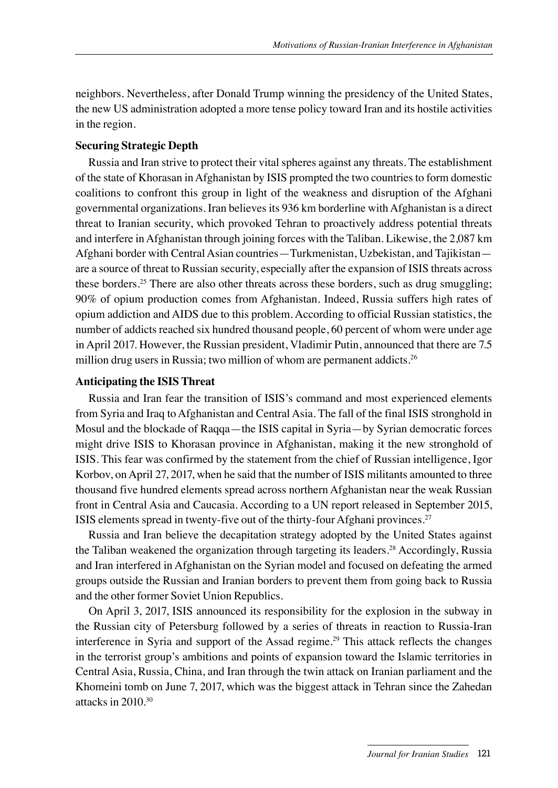neighbors. Nevertheless, after Donald Trump winning the presidency of the United States, the new US administration adopted a more tense policy toward Iran and its hostile activities in the region.

#### **Securing Strategic Depth**

Russia and Iran strive to protect their vital spheres against any threats. The establishment of the state of Khorasan in Afghanistan by ISIS prompted the two countries to form domestic coalitions to confront this group in light of the weakness and disruption of the Afghani governmental organizations. Iran believes its 936 km borderline with Afghanistan is a direct threat to Iranian security, which provoked Tehran to proactively address potential threats and interfere in Afghanistan through joining forces with the Taliban. Likewise, the 2,087 km Afghani border with Central Asian countries—Turkmenistan, Uzbekistan, and Tajikistan are a source of threat to Russian security, especially after the expansion of ISIS threats across these borders.25 There are also other threats across these borders, such as drug smuggling; 90% of opium production comes from Afghanistan. Indeed, Russia suffers high rates of opium addiction and AIDS due to this problem. According to official Russian statistics, the number of addicts reached six hundred thousand people, 60 percent of whom were under age in April 2017. However, the Russian president, Vladimir Putin, announced that there are 7.5 million drug users in Russia; two million of whom are permanent addicts.<sup>26</sup>

#### **Anticipating the ISIS Threat**

Russia and Iran fear the transition of ISIS's command and most experienced elements from Syria and Iraq to Afghanistan and Central Asia. The fall of the final ISIS stronghold in Mosul and the blockade of Raqqa—the ISIS capital in Syria—by Syrian democratic forces might drive ISIS to Khorasan province in Afghanistan, making it the new stronghold of ISIS. This fear was confirmed by the statement from the chief of Russian intelligence, Igor Korbov, on April 27, 2017, when he said that the number of ISIS militants amounted to three thousand five hundred elements spread across northern Afghanistan near the weak Russian front in Central Asia and Caucasia. According to a UN report released in September 2015, ISIS elements spread in twenty-five out of the thirty-four Afghani provinces.27

Russia and Iran believe the decapitation strategy adopted by the United States against the Taliban weakened the organization through targeting its leaders.28 Accordingly, Russia and Iran interfered in Afghanistan on the Syrian model and focused on defeating the armed groups outside the Russian and Iranian borders to prevent them from going back to Russia and the other former Soviet Union Republics.

On April 3, 2017, ISIS announced its responsibility for the explosion in the subway in the Russian city of Petersburg followed by a series of threats in reaction to Russia-Iran interference in Syria and support of the Assad regime.29 This attack reflects the changes in the terrorist group's ambitions and points of expansion toward the Islamic territories in Central Asia, Russia, China, and Iran through the twin attack on Iranian parliament and the Khomeini tomb on June 7, 2017, which was the biggest attack in Tehran since the Zahedan attacks in  $2010^{30}$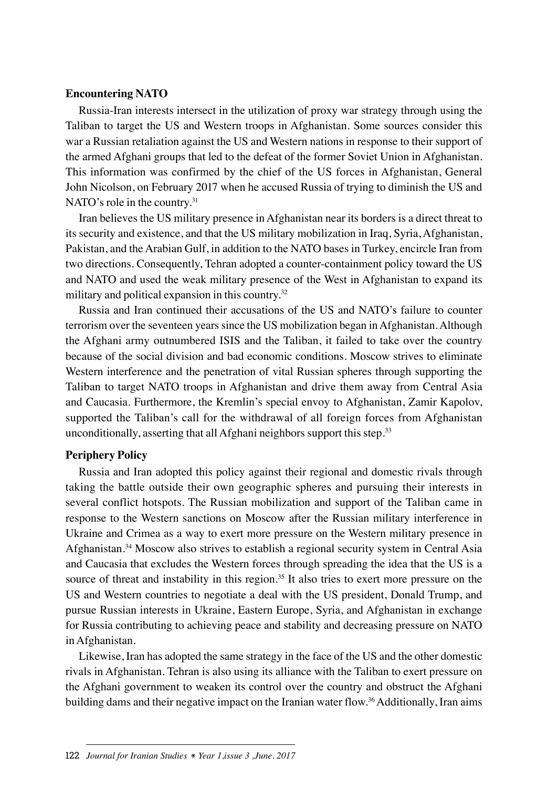#### **Encountering NATO**

Russia-Iran interests intersect in the utilization of proxy war strategy through using the Taliban to target the US and Western troops in Afghanistan. Some sources consider this war a Russian retaliation against the US and Western nations in response to their support of the armed Afghani groups that led to the defeat of the former Soviet Union in Afghanistan. This information was confirmed by the chief of the US forces in Afghanistan, General John Nicolson, on February 2017 when he accused Russia of trying to diminish the US and NATO's role in the country.<sup>31</sup>

Iran believes the US military presence in Afghanistan near its borders is a direct threat to its security and existence, and that the US military mobilization in Iraq, Syria, Afghanistan, Pakistan, and the Arabian Gulf, in addition to the NATO bases in Turkey, encircle Iran from two directions. Consequently, Tehran adopted a counter-containment policy toward the US and NATO and used the weak military presence of the West in Afghanistan to expand its military and political expansion in this country.<sup>32</sup>

Russia and Iran continued their accusations of the US and NATO's failure to counter terrorism over the seventeen years since the US mobilization began in Afghanistan. Although the Afghani army outnumbered ISIS and the Taliban, it failed to take over the country because of the social division and bad economic conditions. Moscow strives to eliminate Western interference and the penetration of vital Russian spheres through supporting the Taliban to target NATO troops in Afghanistan and drive them away from Central Asia and Caucasia. Furthermore, the Kremlin's special envoy to Afghanistan, Zamir Kapolov, supported the Taliban's call for the withdrawal of all foreign forces from Afghanistan unconditionally, asserting that all Afghani neighbors support this step.<sup>33</sup>

#### **Periphery Policy**

Russia and Iran adopted this policy against their regional and domestic rivals through taking the battle outside their own geographic spheres and pursuing their interests in several conflict hotspots. The Russian mobilization and support of the Taliban came in response to the Western sanctions on Moscow after the Russian military interference in Ukraine and Crimea as a way to exert more pressure on the Western military presence in Afghanistan.34 Moscow also strives to establish a regional security system in Central Asia and Caucasia that excludes the Western forces through spreading the idea that the US is a source of threat and instability in this region.<sup>35</sup> It also tries to exert more pressure on the US and Western countries to negotiate a deal with the US president, Donald Trump, and pursue Russian interests in Ukraine, Eastern Europe, Syria, and Afghanistan in exchange for Russia contributing to achieving peace and stability and decreasing pressure on NATO in Afghanistan.

Likewise, Iran has adopted the same strategy in the face of the US and the other domestic rivals in Afghanistan. Tehran is also using its alliance with the Taliban to exert pressure on the Afghani government to weaken its control over the country and obstruct the Afghani building dams and their negative impact on the Iranian water flow.<sup>36</sup> Additionally, Iran aims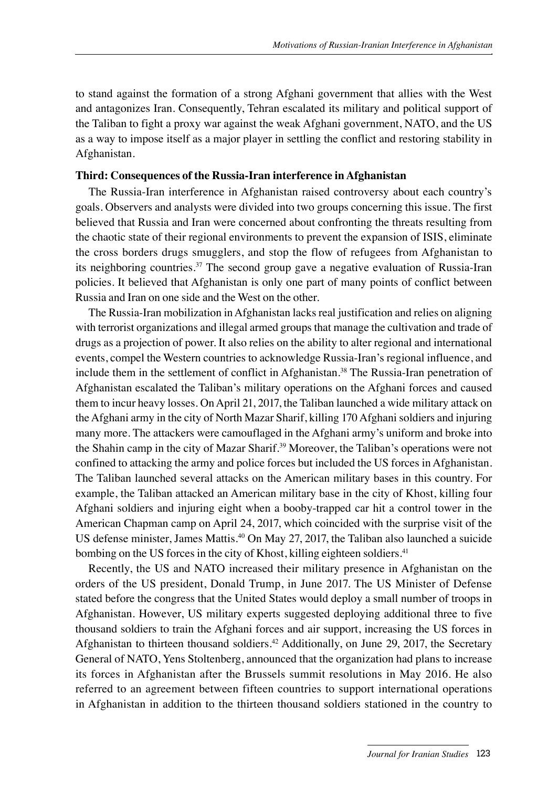to stand against the formation of a strong Afghani government that allies with the West and antagonizes Iran. Consequently, Tehran escalated its military and political support of the Taliban to fight a proxy war against the weak Afghani government, NATO, and the US as a way to impose itself as a major player in settling the conflict and restoring stability in Afghanistan.

#### **Third: Consequences of the Russia-Iran interference in Afghanistan**

The Russia-Iran interference in Afghanistan raised controversy about each country's goals. Observers and analysts were divided into two groups concerning this issue. The first believed that Russia and Iran were concerned about confronting the threats resulting from the chaotic state of their regional environments to prevent the expansion of ISIS, eliminate the cross borders drugs smugglers, and stop the flow of refugees from Afghanistan to its neighboring countries.<sup>37</sup> The second group gave a negative evaluation of Russia-Iran policies. It believed that Afghanistan is only one part of many points of conflict between Russia and Iran on one side and the West on the other.

The Russia-Iran mobilization in Afghanistan lacks real justification and relies on aligning with terrorist organizations and illegal armed groups that manage the cultivation and trade of drugs as a projection of power. It also relies on the ability to alter regional and international events, compel the Western countries to acknowledge Russia-Iran's regional influence, and include them in the settlement of conflict in Afghanistan.<sup>38</sup> The Russia-Iran penetration of Afghanistan escalated the Taliban's military operations on the Afghani forces and caused them to incur heavy losses. On April 21, 2017, the Taliban launched a wide military attack on the Afghani army in the city of North Mazar Sharif, killing 170 Afghani soldiers and injuring many more. The attackers were camouflaged in the Afghani army's uniform and broke into the Shahin camp in the city of Mazar Sharif.39 Moreover, the Taliban's operations were not confined to attacking the army and police forces but included the US forces in Afghanistan. The Taliban launched several attacks on the American military bases in this country. For example, the Taliban attacked an American military base in the city of Khost, killing four Afghani soldiers and injuring eight when a booby-trapped car hit a control tower in the American Chapman camp on April 24, 2017, which coincided with the surprise visit of the US defense minister, James Mattis.40 On May 27, 2017, the Taliban also launched a suicide bombing on the US forces in the city of Khost, killing eighteen soldiers.<sup>41</sup>

Recently, the US and NATO increased their military presence in Afghanistan on the orders of the US president, Donald Trump, in June 2017. The US Minister of Defense stated before the congress that the United States would deploy a small number of troops in Afghanistan. However, US military experts suggested deploying additional three to five thousand soldiers to train the Afghani forces and air support, increasing the US forces in Afghanistan to thirteen thousand soldiers.42 Additionally, on June 29, 2017, the Secretary General of NATO, Yens Stoltenberg, announced that the organization had plans to increase its forces in Afghanistan after the Brussels summit resolutions in May 2016. He also referred to an agreement between fifteen countries to support international operations in Afghanistan in addition to the thirteen thousand soldiers stationed in the country to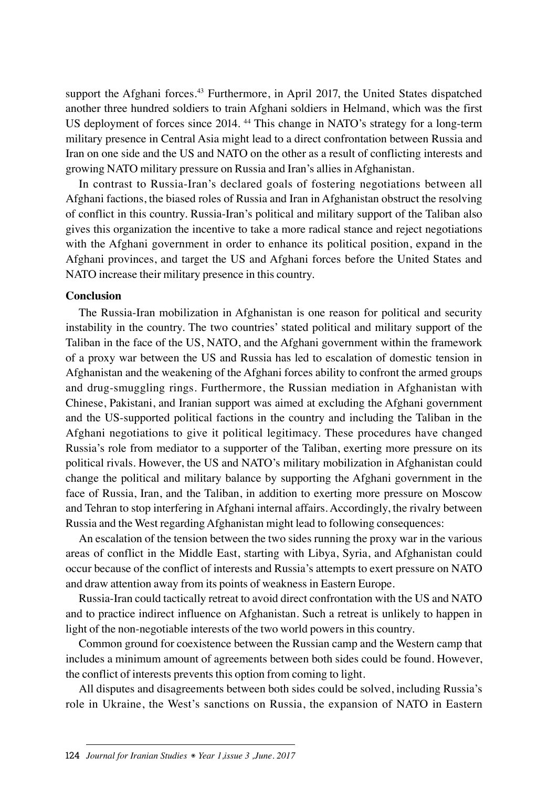support the Afghani forces.<sup>43</sup> Furthermore, in April 2017, the United States dispatched another three hundred soldiers to train Afghani soldiers in Helmand, which was the first US deployment of forces since 2014. 44 This change in NATO's strategy for a long-term military presence in Central Asia might lead to a direct confrontation between Russia and Iran on one side and the US and NATO on the other as a result of conflicting interests and growing NATO military pressure on Russia and Iran's allies in Afghanistan.

In contrast to Russia-Iran's declared goals of fostering negotiations between all Afghani factions, the biased roles of Russia and Iran in Afghanistan obstruct the resolving of conflict in this country. Russia-Iran's political and military support of the Taliban also gives this organization the incentive to take a more radical stance and reject negotiations with the Afghani government in order to enhance its political position, expand in the Afghani provinces, and target the US and Afghani forces before the United States and NATO increase their military presence in this country.

#### **Conclusion**

The Russia-Iran mobilization in Afghanistan is one reason for political and security instability in the country. The two countries' stated political and military support of the Taliban in the face of the US, NATO, and the Afghani government within the framework of a proxy war between the US and Russia has led to escalation of domestic tension in Afghanistan and the weakening of the Afghani forces ability to confront the armed groups and drug-smuggling rings. Furthermore, the Russian mediation in Afghanistan with Chinese, Pakistani, and Iranian support was aimed at excluding the Afghani government and the US-supported political factions in the country and including the Taliban in the Afghani negotiations to give it political legitimacy. These procedures have changed Russia's role from mediator to a supporter of the Taliban, exerting more pressure on its political rivals. However, the US and NATO's military mobilization in Afghanistan could change the political and military balance by supporting the Afghani government in the face of Russia, Iran, and the Taliban, in addition to exerting more pressure on Moscow and Tehran to stop interfering in Afghani internal affairs. Accordingly, the rivalry between Russia and the West regarding Afghanistan might lead to following consequences:

An escalation of the tension between the two sides running the proxy war in the various areas of conflict in the Middle East, starting with Libya, Syria, and Afghanistan could occur because of the conflict of interests and Russia's attempts to exert pressure on NATO and draw attention away from its points of weakness in Eastern Europe.

Russia-Iran could tactically retreat to avoid direct confrontation with the US and NATO and to practice indirect influence on Afghanistan. Such a retreat is unlikely to happen in light of the non-negotiable interests of the two world powers in this country.

Common ground for coexistence between the Russian camp and the Western camp that includes a minimum amount of agreements between both sides could be found. However, the conflict of interests prevents this option from coming to light.

All disputes and disagreements between both sides could be solved, including Russia's role in Ukraine, the West's sanctions on Russia, the expansion of NATO in Eastern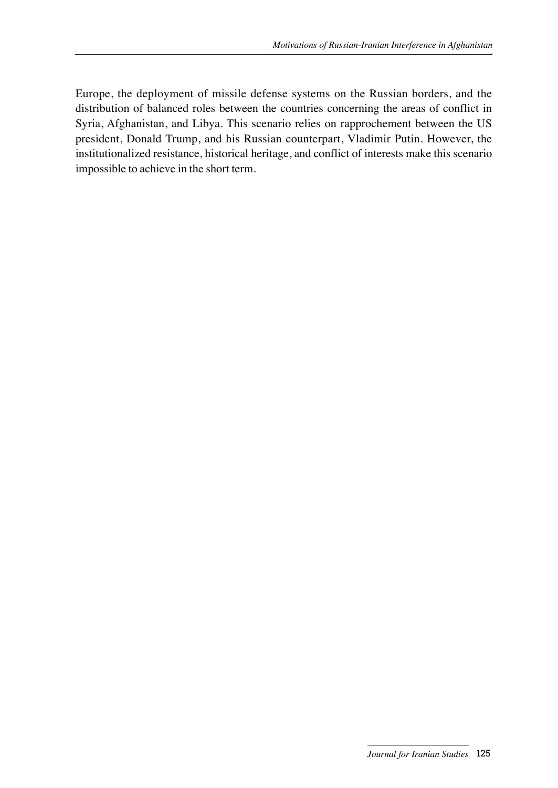Europe, the deployment of missile defense systems on the Russian borders, and the distribution of balanced roles between the countries concerning the areas of conflict in Syria, Afghanistan, and Libya. This scenario relies on rapprochement between the US president, Donald Trump, and his Russian counterpart, Vladimir Putin. However, the institutionalized resistance, historical heritage, and conflict of interests make this scenario impossible to achieve in the short term.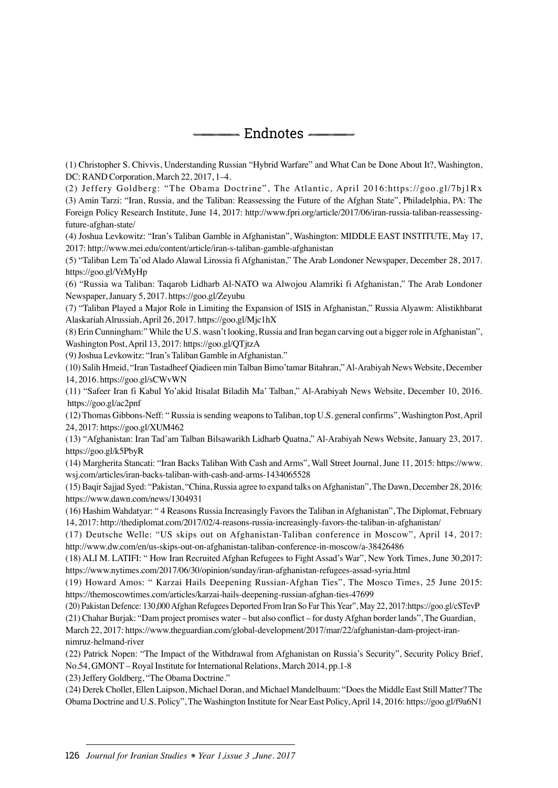Endnotes

(1) Christopher S. Chivvis, Understanding Russian "Hybrid Warfare" and What Can be Done About It?, Washington, DC: RAND Corporation, March 22, 2017, 1–4.

(2) Jeffery Goldberg: "The Obama Doctrine", The Atlantic, April 2016:https://goo.gl/7bj1Rx (3) Amin Tarzi: "Iran, Russia, and the Taliban: Reassessing the Future of the Afghan State", Philadelphia, PA: The Foreign Policy Research Institute, June 14, 2017: http://www.fpri.org/article/2017/06/iran-russia-taliban-reassessingfuture-afghan-state/

(4) Joshua Levkowitz: "Iran's Taliban Gamble in Afghanistan", Washington: MIDDLE EAST INSTITUTE, May 17, 2017: http://www.mei.edu/content/article/iran-s-taliban-gamble-afghanistan

(5) "Taliban Lem Ta'od Alado Alawal Lirossia fi Afghanistan," The Arab Londoner Newspaper, December 28, 2017. https://goo.gl/VrMyHp

(6) "Russia wa Taliban: Taqarob Lidharb Al-NATO wa Alwojou Alamriki fi Afghanistan," The Arab Londoner Newspaper, January 5, 2017. https://goo.gl/Zeyubu

(7) "Taliban Played a Major Role in Limiting the Expansion of ISIS in Afghanistan," Russia Alyawm: Alistikhbarat Alaskariah Alrussiah, April 26, 2017. https://goo.gl/Mjc1hX

(8) Erin Cunningham:" While the U.S. wasn't looking, Russia and Iran began carving out a bigger role in Afghanistan", Washington Post, April 13, 2017: https://goo.gl/QTjtzA

(9) Joshua Levkowitz: "Iran's Taliban Gamble in Afghanistan."

(10) Salih Hmeid, "Iran Tastadheef Qiadieen min Talban Bimo'tamar Bitahran," Al-Arabiyah News Website, December 14, 2016. https://goo.gl/sCWvWN

(11) "Safeer Iran fi Kabul Yo'akid Itisalat Biladih Ma' Talban," Al-Arabiyah News Website, December 10, 2016. https://goo.gl/ac2pnf

(12) Thomas Gibbons-Neff: " Russia is sending weapons to Taliban, top U.S. general confirms", Washington Post, April 24, 2017: https://goo.gl/XUM462

(13) "Afghanistan: Iran Tad'am Talban Bilsawarikh Lidharb Quatna," Al-Arabiyah News Website, January 23, 2017. https://goo.gl/k5PbyR

(14) Margherita Stancati: "Iran Backs Taliban With Cash and Arms", Wall Street Journal, June 11, 2015: https://www. wsj.com/articles/iran-backs-taliban-with-cash-and-arms-1434065528

(15) Baqir Sajjad Syed: "Pakistan, "China, Russia agree to expand talks on Afghanistan", The Dawn, December 28, 2016: https://www.dawn.com/news/1304931

(16) Hashim Wahdatyar: " 4 Reasons Russia Increasingly Favors the Taliban in Afghanistan", The Diplomat, February 14, 2017: http://thediplomat.com/2017/02/4-reasons-russia-increasingly-favors-the-taliban-in-afghanistan/

(17) Deutsche Welle: "US skips out on Afghanistan-Taliban conference in Moscow", April 14, 2017: http://www.dw.com/en/us-skips-out-on-afghanistan-taliban-conference-in-moscow/a-38426486

(18) ALI M. LATIFI: " How Iran Recruited Afghan Refugees to Fight Assad's War", New York Times, June 30,2017: https://www.nytimes.com/2017/06/30/opinion/sunday/iran-afghanistan-refugees-assad-syria.html

(19) Howard Amos: " Karzai Hails Deepening Russian-Afghan Ties", The Mosco Times, 25 June 2015: https://themoscowtimes.com/articles/karzai-hails-deepening-russian-afghan-ties-47699

(20) Pakistan Defence: 130,000 Afghan Refugees Deported From Iran So Far This Year", May 22, 2017:https://goo.gl/cSTevP

(21) Chahar Burjak: "Dam project promises water – but also conflict – for dusty Afghan border lands", The Guardian, March 22, 2017: https://www.theguardian.com/global-development/2017/mar/22/afghanistan-dam-project-irannimruz-helmand-river

(22) Patrick Nopen: "The Impact of the Withdrawal from Afghanistan on Russia's Security", Security Policy Brief, No.54, GMONT – Royal Institute for International Relations, March 2014, pp.1-8

(23) Jeffery Goldberg, "The Obama Doctrine."

(24) Derek Chollet, Ellen Laipson, Michael Doran, and Michael Mandelbaum: "Does the Middle East Still Matter? The Obama Doctrine and U.S. Policy", The Washington Institute for Near East Policy, April 14, 2016: https://goo.gl/f9a6N1